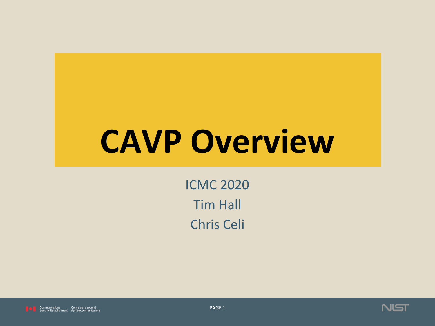# **CAVP Overview**

**ICMC 2020 Tim Hall** Chris Celi





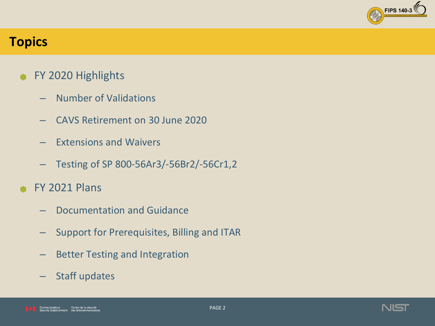

#### **Topics**

- FY 2020 Highlights
	- Number of Validations
	- CAVS Retirement on 30 June 2020
	- $-$  Extensions and Waivers
	- Testing of SP 800-56Ar3/-56Br2/-56Cr1,2
- **FY 2021 Plans** 
	- Documentation and Guidance
	- Support for Prerequisites, Billing and ITAR
	- Better Testing and Integration
	- Staff updates

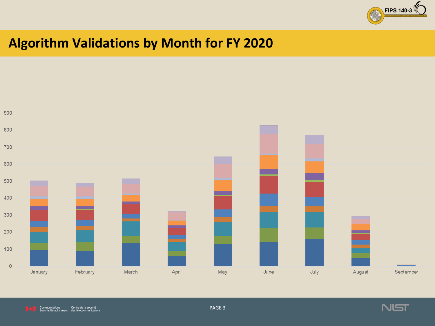

## **Algorithm Validations by Month for FY 2020**





PAGE 3

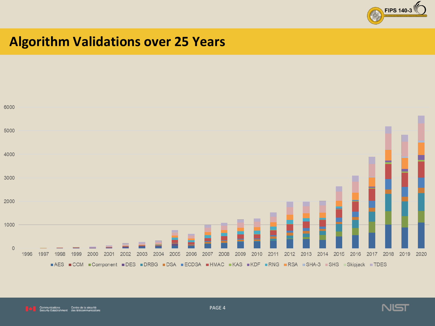

#### **Algorithm Validations over 25 Years**





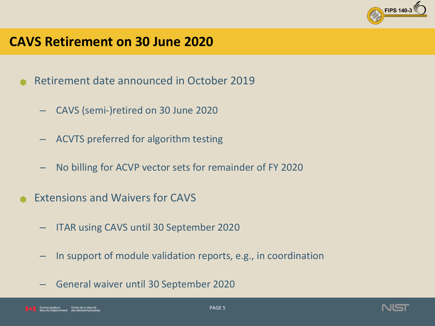

#### **CAVS Retirement on 30 June 2020**

- Retirement date announced in October 2019
	- CAVS (semi-)retired on 30 June 2020
	- ACVTS preferred for algorithm testing
	- $-$  No billing for ACVP vector sets for remainder of FY 2020
- Extensions and Waivers for CAVS
	- **ITAR using CAVS until 30 September 2020**
	- In support of module validation reports, e.g., in coordination
	- General waiver until 30 September 2020

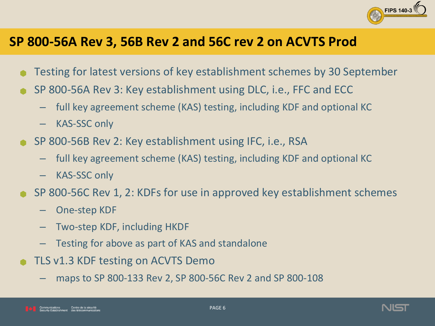

#### **SP 800-56A Rev 3, 56B Rev 2 and 56C rev 2 on ACVTS Prod**

- Testing for latest versions of key establishment schemes by 30 September
- SP 800-56A Rev 3: Key establishment using DLC, i.e., FFC and ECC
	- $-$  full key agreement scheme (KAS) testing, including KDF and optional KC
	- $-$  KAS-SSC only
- SP 800-56B Rev 2: Key establishment using IFC, i.e., RSA
	- $-$  full key agreement scheme (KAS) testing, including KDF and optional KC
	- $-$  KAS-SSC only
- SP 800-56C Rev 1, 2: KDFs for use in approved key establishment schemes
	- One-step KDF
	- $-$  Two-step KDF, including HKDF
	- Testing for above as part of KAS and standalone
- TLS v1.3 KDF testing on ACVTS Demo
	- maps to SP 800-133 Rev 2, SP 800-56C Rev 2 and SP 800-108

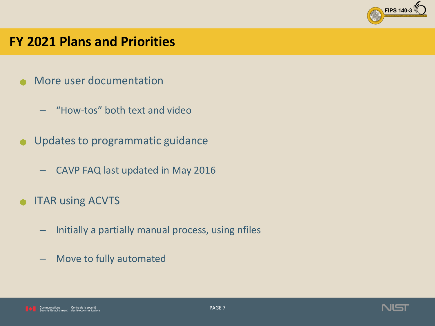

#### **FY 2021 Plans and Priorities**

- More user documentation
	- "How-tos" both text and video
- $\bullet$  Updates to programmatic guidance
	- CAVP FAQ last updated in May 2016
- **ITAR using ACVTS** 
	- $-$  Initially a partially manual process, using nfiles
	- Move to fully automated

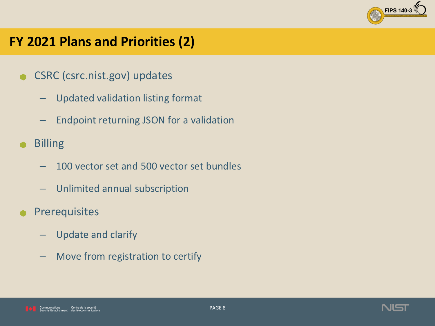

### **FY 2021 Plans and Priorities (2)**

- CSRC (csrc.nist.gov) updates
	- Updated validation listing format
	- Endpoint returning JSON for a validation
- **Billing** 
	- 100 vector set and 500 vector set bundles
	- Unlimited annual subscription
- **Prerequisites** 
	- Update and clarify
	- $-$  Move from registration to certify

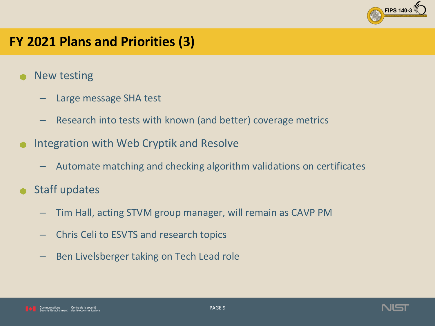

### **FY 2021 Plans and Priorities (3)**

- New testing
	- Large message SHA test
	- Research into tests with known (and better) coverage metrics
- Integration with Web Cryptik and Resolve
	- Automate matching and checking algorithm validations on certificates
- Staff updates
	- Tim Hall, acting STVM group manager, will remain as CAVP PM
	- Chris Celi to ESVTS and research topics
	- Ben Livelsberger taking on Tech Lead role